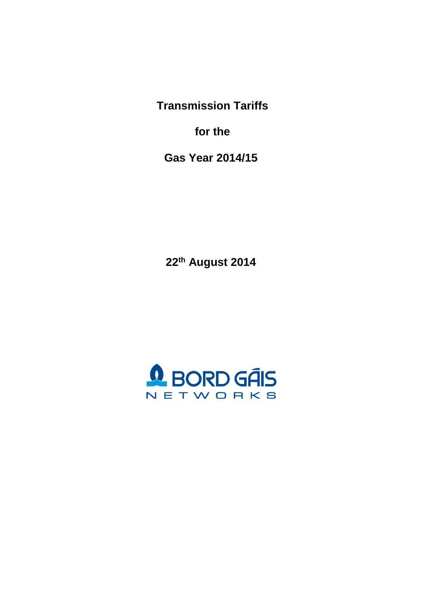**Transmission Tariffs**

**for the**

**Gas Year 2014/15**

**22 th August 2014**

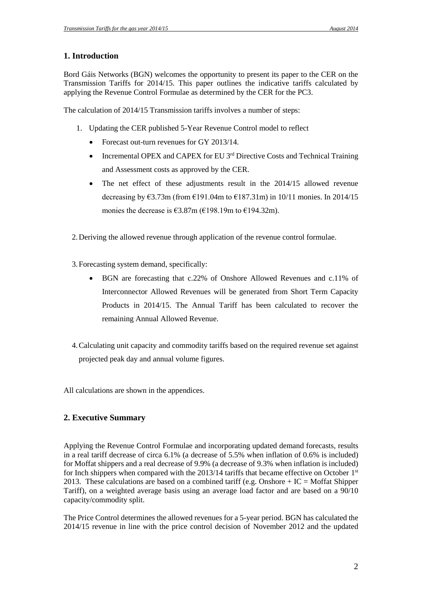## **1. Introduction**

Bord Gáis Networks (BGN) welcomes the opportunity to present its paper to the CER on the Transmission Tariffs for 2014/15. This paper outlines the indicative tariffs calculated by applying the Revenue Control Formulae as determined by the CER for the PC3.

The calculation of 2014/15 Transmission tariffs involves a number of steps:

- 1. Updating the CER published 5-Year Revenue Control model to reflect
	- Forecast out-turn revenues for GY 2013/14.
	- Incremental OPEX and CAPEX for EU  $3^{rd}$  Directive Costs and Technical Training and Assessment costs as approved by the CER.
	- The net effect of these adjustments result in the 2014/15 allowed revenue decreasing by  $63.73m$  (from  $6191.04m$  to  $6187.31m$ ) in 10/11 monies. In 2014/15 monies the decrease is  $\epsilon$ 3.87m ( $\epsilon$ 198.19m to  $\epsilon$ 194.32m).

2.Deriving the allowed revenue through application of the revenue control formulae.

- 3.Forecasting system demand, specifically:
	- BGN are forecasting that c.22% of Onshore Allowed Revenues and c.11% of Interconnector Allowed Revenues will be generated from Short Term Capacity Products in 2014/15. The Annual Tariff has been calculated to recover the remaining Annual Allowed Revenue.
- 4.Calculating unit capacity and commodity tariffs based on the required revenue set against projected peak day and annual volume figures.

All calculations are shown in the appendices.

## **2. Executive Summary**

Applying the Revenue Control Formulae and incorporating updated demand forecasts, results in a real tariff decrease of circa 6.1% (a decrease of 5.5% when inflation of 0.6% is included) for Moffat shippers and a real decrease of 9.9% (a decrease of 9.3% when inflation is included) for Inch shippers when compared with the 2013/14 tariffs that became effective on October 1<sup>st</sup> 2013. These calculations are based on a combined tariff (e.g. Onshore  $+ IC = Moffat$  Shipper Tariff), on a weighted average basis using an average load factor and are based on a 90/10 capacity/commodity split.

The Price Control determines the allowed revenues for a 5-year period. BGN has calculated the 2014/15 revenue in line with the price control decision of November 2012 and the updated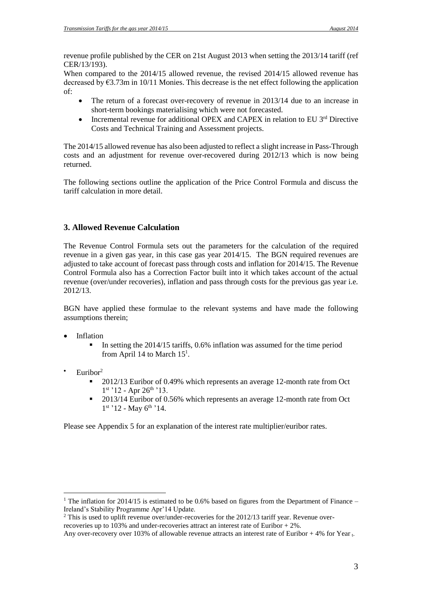revenue profile published by the CER on 21st August 2013 when setting the 2013/14 tariff (ref CER/13/193).

When compared to the 2014/15 allowed revenue, the revised 2014/15 allowed revenue has decreased by €3.73m in 10/11 Monies. This decrease is the net effect following the application of:

- The return of a forecast over-recovery of revenue in 2013/14 due to an increase in short-term bookings materialising which were not forecasted.
- Incremental revenue for additional OPEX and CAPEX in relation to EU 3rd Directive Costs and Technical Training and Assessment projects.

The 2014/15 allowed revenue has also been adjusted to reflect a slight increase in Pass-Through costs and an adjustment for revenue over-recovered during 2012/13 which is now being returned.

The following sections outline the application of the Price Control Formula and discuss the tariff calculation in more detail.

## **3. Allowed Revenue Calculation**

The Revenue Control Formula sets out the parameters for the calculation of the required revenue in a given gas year, in this case gas year 2014/15. The BGN required revenues are adjusted to take account of forecast pass through costs and inflation for 2014/15. The Revenue Control Formula also has a Correction Factor built into it which takes account of the actual revenue (over/under recoveries), inflation and pass through costs for the previous gas year i.e. 2012/13.

BGN have applied these formulae to the relevant systems and have made the following assumptions therein;

- Inflation
	- In setting the 2014/15 tariffs, 0.6% inflation was assumed for the time period from April 14 to March  $15<sup>1</sup>$ .
- $\cdot$  Euribor<sup>2</sup>

 $\overline{a}$ 

- 2012/13 Euribor of 0.49% which represents an average 12-month rate from Oct 1st '12 - Apr 26<sup>th</sup> '13.
- 2013/14 Euribor of 0.56% which represents an average 12-month rate from Oct  $1<sup>st</sup>$  '12 - May  $6<sup>th</sup>$  '14.

Please see Appendix 5 for an explanation of the interest rate multiplier/euribor rates.

<sup>&</sup>lt;sup>1</sup> The inflation for 2014/15 is estimated to be 0.6% based on figures from the Department of Finance – Ireland's Stability Programme Apr'14 Update.

 $2$  This is used to uplift revenue over/under-recoveries for the 2012/13 tariff year. Revenue overrecoveries up to 103% and under-recoveries attract an interest rate of Euribor + 2%.

Any over-recovery over 103% of allowable revenue attracts an interest rate of Euribor  $+ 4\%$  for Year  $_{L}$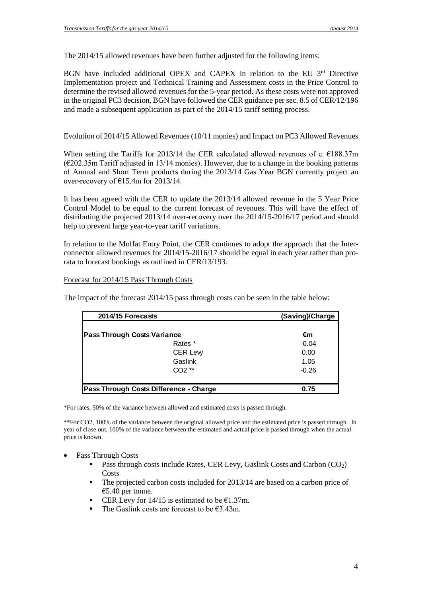The 2014/15 allowed revenues have been further adjusted for the following items:

BGN have included additional OPEX and CAPEX in relation to the EU 3rd Directive Implementation project and Technical Training and Assessment costs in the Price Control to determine the revised allowed revenues for the 5-year period. As these costs were not approved in the original PC3 decision, BGN have followed the CER guidance per sec. 8.5 of CER/12/196 and made a subsequent application as part of the 2014/15 tariff setting process.

#### Evolution of 2014/15 Allowed Revenues(10/11 monies) and Impact on PC3 Allowed Revenues

When setting the Tariffs for 2013/14 the CER calculated allowed revenues of c.  $\epsilon$ 188.37m  $(\text{\textsterling}202.35m$  Tariff adjusted in 13/14 monies). However, due to a change in the booking patterns of Annual and Short Term products during the 2013/14 Gas Year BGN currently project an over-recovery of  $E15.4m$  for 2013/14.

It has been agreed with the CER to update the 2013/14 allowed revenue in the 5 Year Price Control Model to be equal to the current forecast of revenues. This will have the effect of distributing the projected 2013/14 over-recovery over the 2014/15-2016/17 period and should help to prevent large year-to-year tariff variations.

In relation to the Moffat Entry Point, the CER continues to adopt the approach that the Interconnector allowed revenues for 2014/15-2016/17 should be equal in each year rather than prorata to forecast bookings as outlined in CER/13/193.

#### Forecast for 2014/15 Pass Through Costs

The impact of the forecast 2014/15 pass through costs can be seen in the table below:

| 2014/15 Forecasts                      | (Saving)/Charge |
|----------------------------------------|-----------------|
| <b>Pass Through Costs Variance</b>     | €m              |
| Rates *                                | $-0.04$         |
| <b>CER Levy</b>                        | 0.00            |
| Gaslink                                | 1.05            |
| CO <sub>2</sub> **                     | $-0.26$         |
| Pass Through Costs Difference - Charge | 0.75            |

\*For rates, 50% of the variance between allowed and estimated costs is passed through.

\*\*For CO2, 100% of the variance between the original allowed price and the estimated price is passed through. In year of close out, 100% of the variance between the estimated and actual price is passed through when the actual price is known.

- Pass Through Costs
	- **Pass through costs include Rates, CER Levy, Gaslink Costs and Carbon (CO<sub>2</sub>)** Costs
	- The projected carbon costs included for 2013/14 are based on a carbon price of €5.40 per tonne.
	- CER Levy for  $14/15$  is estimated to be €1.37m.
	- The Gaslink costs are forecast to be  $\epsilon$ 3.43m.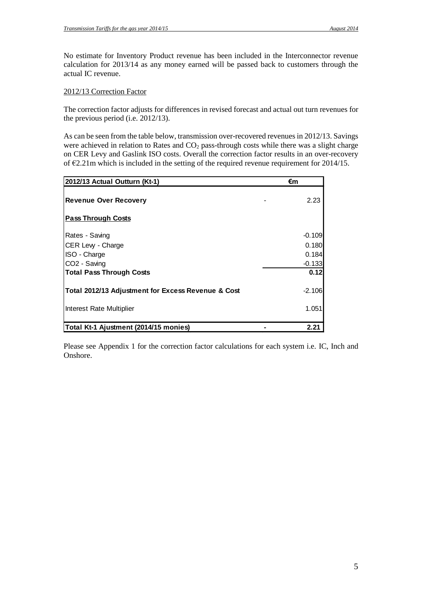No estimate for Inventory Product revenue has been included in the Interconnector revenue calculation for 2013/14 as any money earned will be passed back to customers through the actual IC revenue.

#### 2012/13 Correction Factor

The correction factor adjusts for differences in revised forecast and actual out turn revenues for the previous period (i.e. 2012/13).

As can be seen from the table below, transmission over-recovered revenues in 2012/13. Savings were achieved in relation to Rates and CO<sub>2</sub> pass-through costs while there was a slight charge on CER Levy and Gaslink ISO costs. Overall the correction factor results in an over-recovery of  $\epsilon$ 2.21m which is included in the setting of the required revenue requirement for 2014/15.

| 2012/13 Actual Outturn (Kt-1)                      | €m       |
|----------------------------------------------------|----------|
| <b>Revenue Over Recovery</b>                       | 2.23     |
| <b>Pass Through Costs</b>                          |          |
| Rates - Saving                                     | $-0.109$ |
| CER Lew - Charge                                   | 0.180    |
| ISO - Charge                                       | 0.184    |
| CO <sub>2</sub> - Saving                           | $-0.133$ |
| <b>Total Pass Through Costs</b>                    | 0.12     |
| Total 2012/13 Adjustment for Excess Revenue & Cost | $-2.106$ |
| Interest Rate Multiplier                           | 1.051    |
|                                                    |          |
| Total Kt-1 Ajustment (2014/15 monies)              | 2.21     |

Please see Appendix 1 for the correction factor calculations for each system i.e. IC, Inch and Onshore.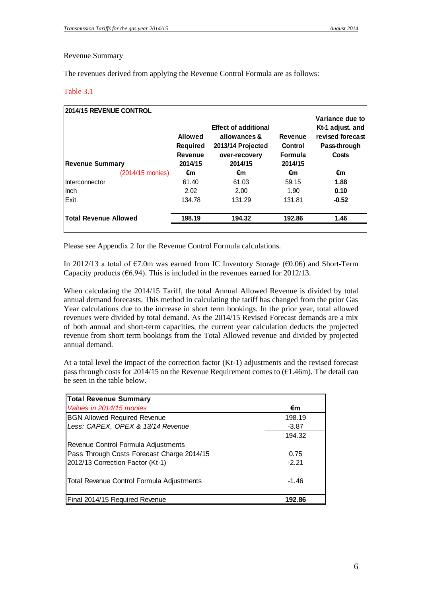#### Revenue Summary

The revenues derived from applying the Revenue Control Formula are as follows:

#### Table 3.1

| 2014/15 REVENUE CONTROL<br><b>Revenue Summary</b> | Allowed<br>Required<br>Revenue<br>2014/15 | <b>Effect of additional</b><br>allowances &<br>2013/14 Projected<br>over-recovery<br>2014/15 | <b>Revenue</b><br>Control<br>Formula<br>2014/15 | Variance due to<br>Kt-1 adjust. and<br>revised forecast<br>Pass-through<br>Costs |
|---------------------------------------------------|-------------------------------------------|----------------------------------------------------------------------------------------------|-------------------------------------------------|----------------------------------------------------------------------------------|
| (2014/15 monies)                                  | €m                                        | €m                                                                                           | €m                                              | €m                                                                               |
| IInterconnector                                   | 61.40                                     | 61.03                                                                                        | 59.15                                           | 1.88                                                                             |
| Ilnch                                             | 2.02                                      | 2.00                                                                                         | 1.90                                            | 0.10                                                                             |
| <b>IExit</b>                                      | 134.78                                    | 131.29                                                                                       | 131.81                                          | $-0.52$                                                                          |
| <b>Total Revenue Allowed</b>                      | 198.19                                    | 194.32                                                                                       | 192.86                                          | 1.46                                                                             |

Please see Appendix 2 for the Revenue Control Formula calculations.

In 2012/13 a total of  $\epsilon$ 7.0m was earned from IC Inventory Storage ( $\epsilon$ 0.06) and Short-Term Capacity products ( $66.94$ ). This is included in the revenues earned for 2012/13.

When calculating the 2014/15 Tariff, the total Annual Allowed Revenue is divided by total annual demand forecasts. This method in calculating the tariff has changed from the prior Gas Year calculations due to the increase in short term bookings. In the prior year, total allowed revenues were divided by total demand. As the 2014/15 Revised Forecast demands are a mix of both annual and short-term capacities, the current year calculation deducts the projected revenue from short term bookings from the Total Allowed revenue and divided by projected annual demand.

At a total level the impact of the correction factor (Kt-1) adjustments and the revised forecast pass through costs for 2014/15 on the Revenue Requirement comes to  $(\text{\textsterling}1.46\text{m})$ . The detail can be seen in the table below.

| <b>Total Revenue Summary</b>               |         |
|--------------------------------------------|---------|
| Values in 2014/15 monies                   | €m      |
| <b>BGN Allowed Required Revenue</b>        | 198.19  |
| Less: CAPEX, OPEX & 13/14 Revenue          | $-3.87$ |
|                                            | 194.32  |
| <b>Revenue Control Formula Adjustments</b> |         |
| Pass Through Costs Forecast Charge 2014/15 | 0.75    |
| 2012/13 Correction Factor (Kt-1)           | $-2.21$ |
|                                            |         |
| Total Revenue Control Formula Adjustments  | $-1.46$ |
|                                            |         |
| Final 2014/15 Required Revenue             | 192.86  |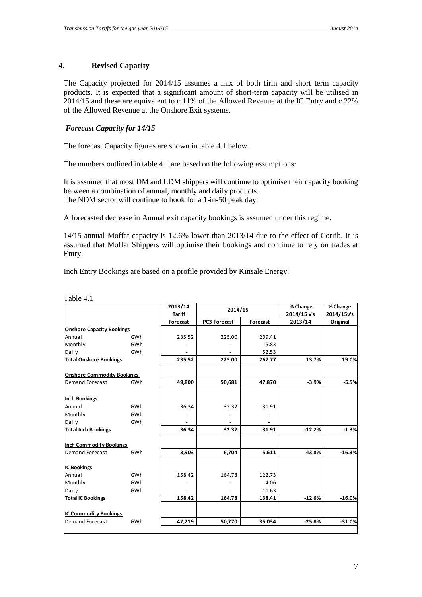#### **4. Revised Capacity**

The Capacity projected for 2014/15 assumes a mix of both firm and short term capacity products. It is expected that a significant amount of short-term capacity will be utilised in 2014/15 and these are equivalent to c.11% of the Allowed Revenue at the IC Entry and c.22% of the Allowed Revenue at the Onshore Exit systems.

#### *Forecast Capacity for 14/15*

The forecast Capacity figures are shown in table 4.1 below.

The numbers outlined in table 4.1 are based on the following assumptions:

It is assumed that most DM and LDM shippers will continue to optimise their capacity booking between a combination of annual, monthly and daily products. The NDM sector will continue to book for a 1-in-50 peak day.

A forecasted decrease in Annual exit capacity bookings is assumed under this regime.

14/15 annual Moffat capacity is 12.6% lower than 2013/14 due to the effect of Corrib. It is assumed that Moffat Shippers will optimise their bookings and continue to rely on trades at Entry.

Inch Entry Bookings are based on a profile provided by Kinsale Energy.

|                                   |     | 2013/14<br><b>Tariff</b> | 2014/15      |          | % Change<br>2014/15 v's | % Change<br>2014/15v's |
|-----------------------------------|-----|--------------------------|--------------|----------|-------------------------|------------------------|
|                                   |     | Forecast                 | PC3 Forecast | Forecast | 2013/14                 | Original               |
| <b>Onshore Capacity Bookings</b>  |     |                          |              |          |                         |                        |
| Annual                            | GWh | 235.52                   | 225.00       | 209.41   |                         |                        |
| Monthly                           | GWh |                          |              | 5.83     |                         |                        |
| Daily                             | GWh |                          |              | 52.53    |                         |                        |
| <b>Total Onshore Bookings</b>     |     | 235.52                   | 225.00       | 267.77   | 13.7%                   | 19.0%                  |
| <b>Onshore Commodity Bookings</b> |     |                          |              |          |                         |                        |
| Demand Forecast                   | GWh | 49,800                   | 50,681       | 47,870   | $-3.9%$                 | $-5.5%$                |
| <b>Inch Bookings</b>              |     |                          |              |          |                         |                        |
| Annual                            | GWh | 36.34                    | 32.32        | 31.91    |                         |                        |
| Monthly                           | GWh |                          |              |          |                         |                        |
| Daily                             | GWh |                          |              |          |                         |                        |
| <b>Total Inch Bookings</b>        |     | 36.34                    | 32.32        | 31.91    | $-12.2%$                | $-1.3%$                |
| <b>Inch Commodity Bookings</b>    |     |                          |              |          |                         |                        |
| Demand Forecast                   | GWh | 3,903                    | 6,704        | 5,611    | 43.8%                   | $-16.3%$               |
| <b>IC Bookings</b>                |     |                          |              |          |                         |                        |
| Annual                            | GWh | 158.42                   | 164.78       | 122.73   |                         |                        |
| Monthly                           | GWh |                          |              | 4.06     |                         |                        |
| Daily                             | GWh |                          |              | 11.63    |                         |                        |
| <b>Total IC Bookings</b>          |     | 158.42                   | 164.78       | 138.41   | $-12.6%$                | $-16.0%$               |
| <b>IC Commodity Bookings</b>      |     |                          |              |          |                         |                        |
| Demand Forecast                   | GWh | 47,219                   | 50,770       | 35,034   | $-25.8%$                | $-31.0%$               |

Table 4.1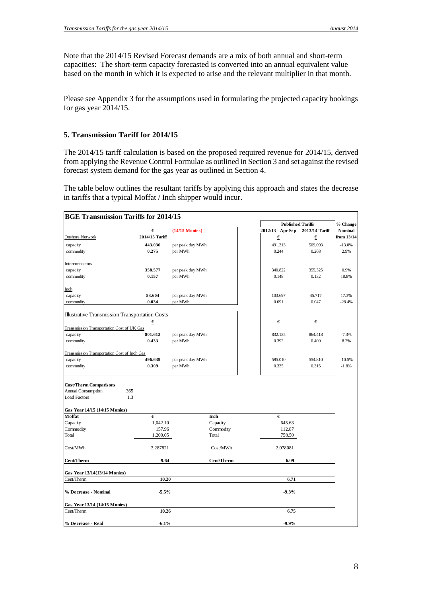Note that the 2014/15 Revised Forecast demands are a mix of both annual and short-term capacities: The short-term capacity forecasted is converted into an annual equivalent value based on the month in which it is expected to arise and the relevant multiplier in that month.

Please see Appendix 3 for the assumptions used in formulating the projected capacity bookings for gas year 2014/15.

#### **5. Transmission Tariff for 2014/15**

The 2014/15 tariff calculation is based on the proposed required revenue for 2014/15, derived from applying the Revenue Control Formulae as outlined in Section 3 and set against the revised forecast system demand for the gas year as outlined in Section 4.

The table below outlines the resultant tariffs by applying this approach and states the decrease in tariffs that a typical Moffat / Inch shipper would incur.

| <b>BGE Transmission Tariffs for 2014/15</b>           |                |                  |            |                          |                |                |
|-------------------------------------------------------|----------------|------------------|------------|--------------------------|----------------|----------------|
|                                                       |                |                  |            | <b>Published Tariffs</b> |                | % Change       |
|                                                       | €              | $(14/15$ Monies) |            | 2012/13 - Apr-Sep        | 2013/14 Tariff | <b>Nominal</b> |
| <b>Onshore Network</b>                                | 2014/15 Tariff |                  |            | €                        | €              | from 13/14     |
| capacity                                              | 443.036        | per peak day MWh |            | 491.313                  | 509.093        | $-13.0%$       |
| commodity                                             | 0.275          | per MWh          |            | 0.244                    | 0.268          | 2.9%           |
|                                                       |                |                  |            |                          |                |                |
| Interconnectors                                       |                |                  |            |                          |                |                |
| capacity                                              | 358.577        | per peak day MWh |            | 340.822                  | 355.325        | 0.9%           |
| commodity                                             | 0.157          | per MWh          |            | 0.148                    | 0.132          | 18.8%          |
|                                                       |                |                  |            |                          |                |                |
| Inch                                                  |                |                  |            |                          |                |                |
| capacity                                              | 53.604         | per peak day MWh |            | 103.697                  | 45.717         | 17.3%          |
| commodity                                             | 0.034          | per MWh          |            | 0.091                    | 0.047          | $-28.4%$       |
|                                                       |                |                  |            |                          |                |                |
| <b>Illustrative Transmission Transportation Costs</b> |                |                  |            |                          |                |                |
|                                                       | €              |                  |            | €                        | €              |                |
| Transmission Transportation Cost of UK Gas            |                |                  |            |                          |                |                |
| capacity                                              | 801.612        | per peak day MWh |            | 832.135                  | 864.418        | $-7.3%$        |
| commodity                                             | 0.433          | per MWh          |            | 0.392                    | 0.400          | 8.2%           |
| Transmission Transportation Cost of Inch Gas          |                |                  |            |                          |                |                |
| capacity                                              | 496.639        | per peak day MWh |            | 595.010                  | 554.810        | $-10.5%$       |
| commodity                                             | 0.309          | per MWh          |            | 0.335                    | 0.315          | $-1.8%$        |
|                                                       |                |                  |            |                          |                |                |
| <b>Cost/Therm Comparisons</b>                         |                |                  |            |                          |                |                |
| <b>Annual Consumption</b>                             | 365            |                  |            |                          |                |                |
| <b>Load Factors</b>                                   | 1.3            |                  |            |                          |                |                |
|                                                       |                |                  |            |                          |                |                |
| Gas Year 14/15 (14/15 Monies)                         |                |                  |            |                          |                |                |
| Moffat                                                | $\epsilon$     |                  | Inch       | €                        |                |                |
| Capacity                                              | 1,042.10       |                  | Capacity   | 645.63                   |                |                |
| Commodity                                             | 157.96         |                  | Commodity  | 112.87                   |                |                |
| Total                                                 | 1,200.05       |                  | Total      | 758.50                   |                |                |
|                                                       |                |                  |            |                          |                |                |
| Cost/MWh                                              | 3.287821       |                  | Cost/MWh   | 2.078081                 |                |                |
| Cent/Therm                                            | 9.64           |                  | Cent/Therm | 6.09                     |                |                |
| <b>Gas Year 13/14(13/14 Monies)</b>                   |                |                  |            |                          |                |                |
| Cent/Therm                                            | 10.20          |                  |            | 6.71                     |                |                |
|                                                       |                |                  |            |                          |                |                |
| % Decrease - Nominal                                  | $-5.5%$        |                  |            | $-9.3%$                  |                |                |
| Gas Year 13/14 (14/15 Monies)                         |                |                  |            |                          |                |                |
| Cent/Therm                                            | 10.26          |                  |            | 6.75                     |                |                |
|                                                       |                |                  |            |                          |                |                |
| % Decrease - Real                                     | $-6.1%$        |                  |            | $-9.9%$                  |                |                |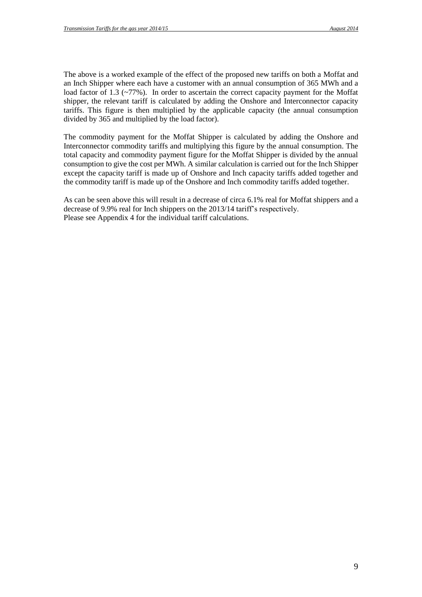The above is a worked example of the effect of the proposed new tariffs on both a Moffat and an Inch Shipper where each have a customer with an annual consumption of 365 MWh and a load factor of 1.3 (~77%). In order to ascertain the correct capacity payment for the Moffat shipper, the relevant tariff is calculated by adding the Onshore and Interconnector capacity tariffs. This figure is then multiplied by the applicable capacity (the annual consumption divided by 365 and multiplied by the load factor).

The commodity payment for the Moffat Shipper is calculated by adding the Onshore and Interconnector commodity tariffs and multiplying this figure by the annual consumption. The total capacity and commodity payment figure for the Moffat Shipper is divided by the annual consumption to give the cost per MWh. A similar calculation is carried out for the Inch Shipper except the capacity tariff is made up of Onshore and Inch capacity tariffs added together and the commodity tariff is made up of the Onshore and Inch commodity tariffs added together.

As can be seen above this will result in a decrease of circa 6.1% real for Moffat shippers and a decrease of 9.9% real for Inch shippers on the 2013/14 tariff's respectively. Please see Appendix 4 for the individual tariff calculations.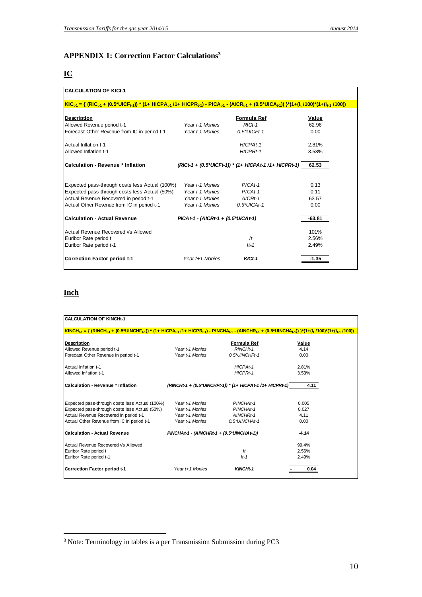# **APPENDIX 1: Correction Factor Calculations<sup>3</sup>**

## **IC**

| <b>CALCULATION OF KICt-1</b>                                                                                                                                                                                                                              |                                       |                                                       |          |
|-----------------------------------------------------------------------------------------------------------------------------------------------------------------------------------------------------------------------------------------------------------|---------------------------------------|-------------------------------------------------------|----------|
| <u> KIC<sub>t-1</sub> = { (RIC<sub>t-1</sub> + (0.5*UICF<sub>t-1</sub>)) * (1+ HICPA<sub>t-1</sub>/1+ HICPR<sub>t-1</sub>) - PICA<sub>t-1</sub> - (AICR<sub>t-1</sub> + (0.5*UICA<sub>t-1</sub>)) }*(1+(I<sub>t</sub> /100)*(1+(I<sub>t-1</sub>/100))</u> |                                       |                                                       |          |
| <b>Description</b>                                                                                                                                                                                                                                        |                                       | Formula Ref                                           | Value    |
| Allowed Revenue period t-1                                                                                                                                                                                                                                | Year t-1 Monies                       | $RICt-1$                                              | 62.96    |
| Forecast Other Revenue from IC in period t-1                                                                                                                                                                                                              | Year t-1 Monies                       | $0.5*UICFt-1$                                         | 0.00     |
| Actual Inflation t-1                                                                                                                                                                                                                                      |                                       | HICPAt-1                                              | 2.81%    |
| Allowed Inflation t-1                                                                                                                                                                                                                                     |                                       | HICPRt-1                                              | 3.53%    |
| <b>Calculation - Revenue * Inflation</b>                                                                                                                                                                                                                  |                                       | (RICt-1 + (0.5*UICFt-1)) * (1+ HICPAt-1 /1+ HICPRt-1) | 62.53    |
| Expected pass-through costs less Actual (100%)                                                                                                                                                                                                            | Year t-1 Monies                       | $PICAt-1$                                             | 0.13     |
| Expected pass-through costs less Actual (50%)                                                                                                                                                                                                             | Year t-1 Monies                       | $PICAt-1$                                             | 0.11     |
| Actual Revenue Recovered in period t-1                                                                                                                                                                                                                    | Year t-1 Monies                       | $AICRt-1$                                             | 63.57    |
| Actual Other Revenue from IC in period t-1                                                                                                                                                                                                                | Year t-1 Monies                       | $0.5*UICAt-1$                                         | 0.00     |
| <b>Calculation - Actual Revenue</b>                                                                                                                                                                                                                       | $PICAt-1 - (AICRt-1 + (0.5*UICAt-1))$ |                                                       | $-63.81$ |
| Actual Revenue Recovered Vs Allowed                                                                                                                                                                                                                       |                                       |                                                       | 101%     |
| Euribor Rate period t                                                                                                                                                                                                                                     |                                       | $\mathcal{H}$                                         | 2.56%    |
| Euribor Rate period t-1                                                                                                                                                                                                                                   |                                       | $It-1$                                                | 2.49%    |
| <b>Correction Factor period t-1</b>                                                                                                                                                                                                                       | Year t+1 Monies                       | $KICt-1$                                              | $-1.35$  |

### **Inch**

| <b>CALCULATION OF KINCHt-1</b>                                                                                                                                                                                                                                               |                                             |                                                           |         |  |
|------------------------------------------------------------------------------------------------------------------------------------------------------------------------------------------------------------------------------------------------------------------------------|---------------------------------------------|-----------------------------------------------------------|---------|--|
|                                                                                                                                                                                                                                                                              |                                             |                                                           |         |  |
| KINCH <sub>t-1</sub> = { (RINCH <sub>t-1</sub> + (0.5*UINCHF <sub>t-1</sub> )) * (1+ HICPA <sub>t-1</sub> /1+ HICPR <sub>t-1</sub> ) - PINCHA <sub>t-1</sub> - (AINCHR <sub>t-1</sub> + (0.5*UINCHA <sub>t-1</sub> )) }*(1+(I <sub>t</sub> /100)*(1+(I <sub>t-1</sub> /100)) |                                             |                                                           |         |  |
|                                                                                                                                                                                                                                                                              |                                             |                                                           |         |  |
| <b>Description</b>                                                                                                                                                                                                                                                           |                                             | Formula Ref                                               | Value   |  |
| Allowed Revenue period t-1                                                                                                                                                                                                                                                   | Year t-1 Monies                             | RINCHt-1                                                  | 4 1 4   |  |
| Forecast Other Revenue in period t-1                                                                                                                                                                                                                                         | Year t-1 Monies                             | $0.5$ *UINCHFt-1                                          | 0.00    |  |
| Actual Inflation t-1                                                                                                                                                                                                                                                         |                                             | HICPAt-1                                                  | 2.81%   |  |
| Allowed Inflation t-1                                                                                                                                                                                                                                                        |                                             | HICPRt-1                                                  | 3.53%   |  |
| Calculation - Revenue * Inflation                                                                                                                                                                                                                                            |                                             | (RINCHt-1 + (0.5*UINCHFt-1)) * (1+ HICPAt-1 /1+ HICPRt-1) | 4.11    |  |
|                                                                                                                                                                                                                                                                              |                                             |                                                           |         |  |
|                                                                                                                                                                                                                                                                              |                                             |                                                           |         |  |
| Expected pass-through costs less Actual (100%)                                                                                                                                                                                                                               | Year t-1 Monies                             | PINCHAt-1                                                 | 0.005   |  |
| Expected pass-through costs less Actual (50%)                                                                                                                                                                                                                                | Year t-1 Monies                             | PINCHAt-1                                                 | 0.027   |  |
| Actual Revenue Recovered in period t-1                                                                                                                                                                                                                                       | Year t-1 Monies                             | AINCHRt-1                                                 | 4.11    |  |
| Actual Other Revenue from IC in period t-1                                                                                                                                                                                                                                   | Year t-1 Monies                             | 0.5*UINCHAt-1                                             | 0.00    |  |
| Calculation - Actual Revenue                                                                                                                                                                                                                                                 | $PINCHAt-1 - (AINCHRt-1 + (0.5*UINCHAt-1))$ |                                                           | $-4.14$ |  |
| Actual Revenue Recovered Vs Allowed                                                                                                                                                                                                                                          |                                             |                                                           | 99.4%   |  |
|                                                                                                                                                                                                                                                                              |                                             |                                                           |         |  |
| Euribor Rate period t                                                                                                                                                                                                                                                        |                                             | lt                                                        | 2.56%   |  |
| Euribor Rate period t-1                                                                                                                                                                                                                                                      |                                             | $It-1$                                                    | 2.49%   |  |
| Correction Factor period t-1                                                                                                                                                                                                                                                 | Year t+1 Monies                             | KINCHt-1                                                  | 0.04    |  |
|                                                                                                                                                                                                                                                                              |                                             |                                                           |         |  |

<sup>&</sup>lt;sup>3</sup> Note: Terminology in tables is a per Transmission Submission during PC3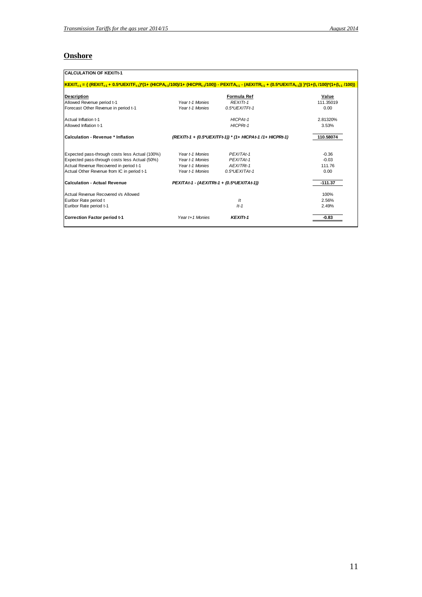# **Onshore**

| <b>CALCULATION OF KEXITt-1</b>                                                                                                                                                                  |                                           |                                                           |           |
|-------------------------------------------------------------------------------------------------------------------------------------------------------------------------------------------------|-------------------------------------------|-----------------------------------------------------------|-----------|
| $ KEXIT_{t-1} = \{ (REXIT_{t-1} + 0.5^*UEXITF_{t-1})^*(1 + (HICPA_{t-1}/100)/1 + (HICPR_{t-1}/100)) - PEXITA_{t-1} - (AEXITR_{t-1} + (0.5^*UEXITA_{t-1})) \}^*(1 + (I_t/100)^*(1 + (I_t/100)))$ |                                           |                                                           |           |
| <b>Description</b>                                                                                                                                                                              |                                           | Formula Ref                                               | Value     |
| Allowed Revenue period t-1                                                                                                                                                                      | Year t-1 Monies                           | REXIT <sub>t-1</sub>                                      | 111.35019 |
| Forecast Other Revenue in period t-1                                                                                                                                                            | Year t-1 Monies                           | $0.5*UEXITFt-1$                                           | 0.00      |
| Actual Inflation t-1                                                                                                                                                                            |                                           | HICPAt-1                                                  | 2.81320%  |
| Allowed Inflation t-1                                                                                                                                                                           |                                           | HICPRt-1                                                  | 3.53%     |
| Calculation - Revenue * Inflation                                                                                                                                                               |                                           | (REXITt-1 + (0.5*UEXITFt-1)) * (1+ HICPAt-1 /1+ HICPRt-1) | 110.58074 |
| Expected pass-through costs less Actual (100%)                                                                                                                                                  | Year t-1 Monies                           | PEXITAt-1                                                 | $-0.36$   |
| Expected pass-through costs less Actual (50%)                                                                                                                                                   | Year t-1 Monies                           | PEXITAt-1                                                 | $-0.03$   |
| Actual Revenue Recovered in period t-1                                                                                                                                                          | Year t-1 Monies                           | AEXITRt-1                                                 | 111.76    |
| Actual Other Revenue from IC in period t-1                                                                                                                                                      | Year t-1 Monies                           | $0.5*UEXITAt-1$                                           | 0.00      |
| Calculation - Actual Revenue                                                                                                                                                                    | PEXITAt-1 - (AEXITRt-1 + (0.5*UEXITAt-1)) |                                                           | $-111.37$ |
| Actual Revenue Recovered Vs Allowed                                                                                                                                                             |                                           |                                                           | 100%      |
| Euribor Rate period t                                                                                                                                                                           |                                           | $\mathcal{H}$                                             | 2.56%     |
| Euribor Rate period t-1                                                                                                                                                                         |                                           | $It-1$                                                    | 2.49%     |
| Correction Factor period t-1                                                                                                                                                                    | Year t+1 Monies                           | KEXITt-1                                                  | $-0.83$   |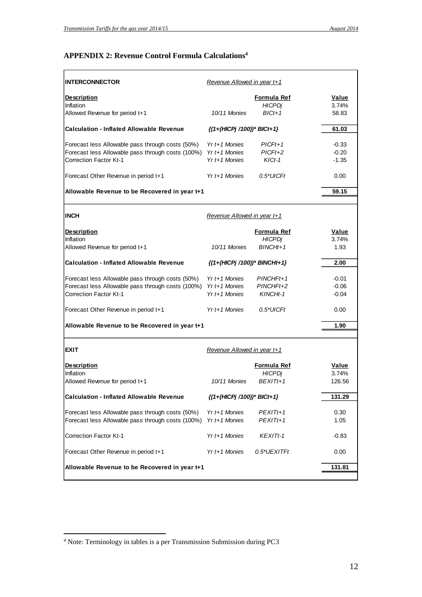# **APPENDIX 2: Revenue Control Formula Calculations<sup>4</sup>**

| <b>INTERCONNECTOR</b>                                           | Revenue Allowed in year t+1           |                    |         |
|-----------------------------------------------------------------|---------------------------------------|--------------------|---------|
| <b>Description</b>                                              |                                       | <b>Formula Ref</b> | Value   |
| Inflation                                                       |                                       | <b>HICPDj</b>      | 3.74%   |
| Allowed Revenue for period t+1                                  | 10/11 Monies                          | $BICt+1$           | 58.83   |
| <b>Calculation - Inflated Allowable Revenue</b>                 | $\{(1+(HICPj/100))^* \text{BICt+1}\}$ |                    | 61.03   |
| Forecast less Allowable pass through costs (50%)                | $Yr t + 1$ Monies                     | $PICFt+1$          | $-0.33$ |
| Forecast less Allowable pass through costs (100%) Yr t+1 Monies |                                       | $PICFt+2$          | $-0.20$ |
| <b>Correction Factor Kt-1</b>                                   | $Yr t + 1$ Monies                     | $KICt-1$           | $-1.35$ |
| Forecast Other Revenue in period t+1                            | $Yr t + 1$ Monies                     | $0.5^*$ UICFt      | 0.00    |
| Allowable Revenue to be Recovered in year t+1                   |                                       |                    | 59.15   |
|                                                                 |                                       |                    |         |
| IINCH                                                           | Revenue Allowed in year t+1           |                    |         |
| <b>Description</b>                                              |                                       | Formula Ref        | Value   |
| Inflation                                                       |                                       | <b>HICPDj</b>      | 3.74%   |
| Allowed Revenue for period t+1                                  | 10/11 Monies                          | $BINCHt+1$         | 1.93    |
| <b>Calculation - Inflated Allowable Revenue</b>                 | {(1+(HICPj /100))* BINCHt+1}          |                    | 2.00    |
| Forecast less Allowable pass through costs (50%)                | $Yr t + 1$ Monies                     | $PINCHFit+1$       | $-0.01$ |
| Forecast less Allowable pass through costs (100%) Yr t+1 Monies |                                       | PINCHFt+2          | $-0.06$ |
| Correction Factor Kt-1                                          | $Yr$ t+1 Monies                       | KINCHt-1           | $-0.04$ |
| Forecast Other Revenue in period t+1                            | $Yr t + 1$ Monies                     | $0.5^*$ UICFt      | 0.00    |
| Allowable Revenue to be Recovered in year t+1                   |                                       |                    | 1.90    |
|                                                                 |                                       |                    |         |
| <b>EXIT</b>                                                     | Revenue Allowed in year t+1           |                    |         |
| <b>Description</b>                                              |                                       | <b>Formula Ref</b> | Value   |
| Inflation                                                       |                                       | <b>HICPDj</b>      | 3.74%   |
| Allowed Revenue for period t+1                                  | 10/11 Monies                          | $BEXITt+1$         | 126.56  |
| <b>Calculation - Inflated Allowable Revenue</b>                 | {(1+(HICPj /100))* BICt+1}            |                    | 131.29  |
| Forecast less Allowable pass through costs (50%)                | Yr t+1 Monies                         | PEXITt+1           | 0.30    |
| Forecast less Allowable pass through costs (100%)               | Yr t+1 Monies                         | PEXITt+1           | 1.05    |
| Correction Factor Kt-1                                          | $Yr$ t+1 Monies                       | <b>KEXITt-1</b>    | $-0.83$ |
| Forecast Other Revenue in period t+1                            | Yr t+1 Monies                         | 0.5*UEXITFt        | 0.00    |
| Allowable Revenue to be Recovered in year t+1                   |                                       |                    | 131.81  |
|                                                                 |                                       |                    |         |
|                                                                 |                                       |                    |         |

<sup>&</sup>lt;sup>4</sup> Note: Terminology in tables is a per Transmission Submission during PC3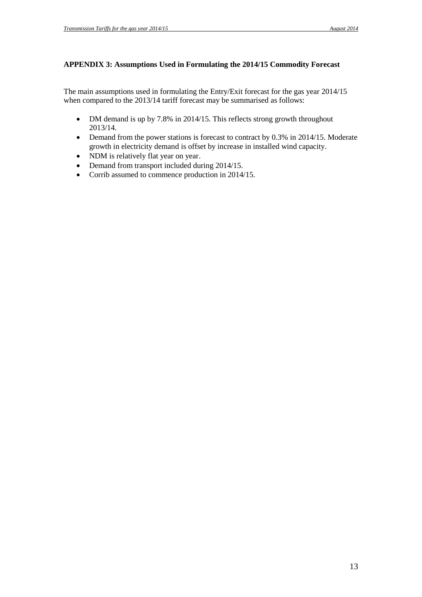### **APPENDIX 3: Assumptions Used in Formulating the 2014/15 Commodity Forecast**

The main assumptions used in formulating the Entry/Exit forecast for the gas year 2014/15 when compared to the 2013/14 tariff forecast may be summarised as follows:

- DM demand is up by 7.8% in 2014/15. This reflects strong growth throughout 2013/14.
- Demand from the power stations is forecast to contract by 0.3% in 2014/15. Moderate growth in electricity demand is offset by increase in installed wind capacity.
- NDM is relatively flat year on year.
- Demand from transport included during 2014/15.
- Corrib assumed to commence production in 2014/15.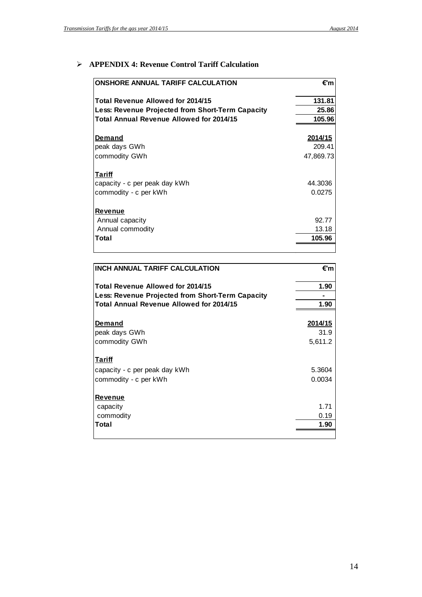### **APPENDIX 4: Revenue Control Tariff Calculation**

| <b>ONSHORE ANNUAL TARIFF CALCULATION</b>         | €'m       |
|--------------------------------------------------|-----------|
| Total Revenue Allowed for 2014/15                | 131.81    |
| Less: Revenue Projected from Short-Term Capacity | 25.86     |
| <b>Total Annual Revenue Allowed for 2014/15</b>  | 105.96    |
|                                                  |           |
| <b>Demand</b>                                    | 2014/15   |
| peak days GWh                                    | 209.41    |
| commodity GWh                                    | 47,869.73 |
|                                                  |           |
| <u>Tariff</u>                                    |           |
| capacity - c per peak day kWh                    | 44.3036   |
| commodity - c per kWh                            | 0.0275    |
|                                                  |           |
| <b>Revenue</b>                                   |           |
| Annual capacity                                  | 92.77     |
| Annual commodity                                 | 13.18     |
| Total                                            | 105.96    |
|                                                  |           |

| <b>INCH ANNUAL TARIFF CALCULATION</b>            | €'m     |
|--------------------------------------------------|---------|
| Total Revenue Allowed for 2014/15                | 1.90    |
| Less: Revenue Projected from Short-Term Capacity |         |
| <b>Total Annual Revenue Allowed for 2014/15</b>  | 1.90    |
|                                                  |         |
| Demand                                           | 2014/15 |
| peak days GWh                                    | 31.9    |
| commodity GWh                                    | 5,611.2 |
| <u>Tariff</u>                                    |         |
| capacity - c per peak day kWh                    | 5.3604  |
| commodity - c per kWh                            | 0.0034  |
| <b>Revenue</b>                                   |         |
| capacity                                         | 1.71    |
| commodity                                        | 0.19    |
| Total                                            | 1.90    |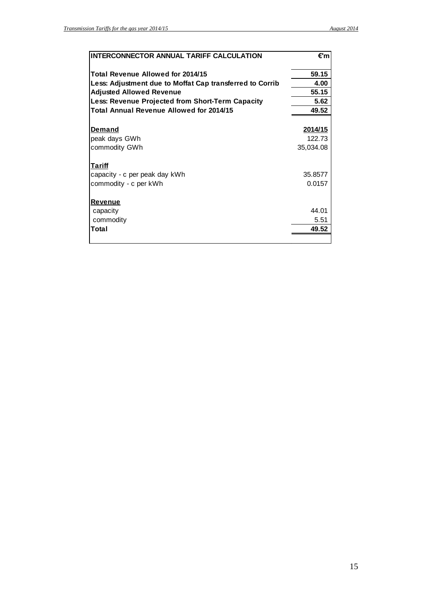| INTERCONNECTOR ANNUAL TARIFF CALCULATION                 | €'m            |
|----------------------------------------------------------|----------------|
| Total Revenue Allowed for 2014/15                        | 59.15          |
| Less: Adjustment due to Moffat Cap transferred to Corrib | 4.00           |
| <b>Adjusted Allowed Revenue</b>                          | 55.15          |
| Less: Revenue Projected from Short-Term Capacity         | 5.62           |
| <b>Total Annual Revenue Allowed for 2014/15</b>          | 49.52          |
| <u>Demand</u>                                            | <u>2014/15</u> |
| peak days GWh                                            | 122.73         |
| commodity GWh                                            | 35,034.08      |
| Tariff                                                   |                |
| capacity - c per peak day kWh                            | 35,8577        |
| commodity - c per kWh                                    | 0.0157         |
| <b>Revenue</b>                                           |                |
| capacity                                                 | 44.01          |
| commodity                                                | 5.51           |
| Total                                                    | 49.52          |
|                                                          |                |